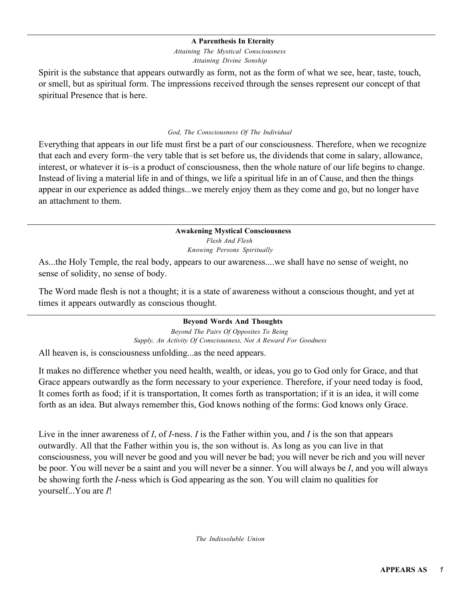# **A Parenthesis In Eternity**

*Attaining The Mystical Consciousness Attaining Divine Sonship*

Spirit is the substance that appears outwardly as form, not as the form of what we see, hear, taste, touch, or smell, but as spiritual form. The impressions received through the senses represent our concept of that spiritual Presence that is here.

# *God, The Consciousness Of The Individual*

Everything that appears in our life must first be a part of our consciousness. Therefore, when we recognize that each and every form–the very table that is set before us, the dividends that come in salary, allowance, interest, or whatever it is–is a product of consciousness, then the whole nature of our life begins to change. Instead of living a material life in and of things, we life a spiritual life in an of Cause, and then the things appear in our experience as added things...we merely enjoy them as they come and go, but no longer have an attachment to them.

# **Awakening Mystical Consciousness** *Flesh And Flesh*

*Knowing Persons Spiritually*

As...the Holy Temple, the real body, appears to our awareness....we shall have no sense of weight, no sense of solidity, no sense of body.

The Word made flesh is not a thought; it is a state of awareness without a conscious thought, and yet at times it appears outwardly as conscious thought.

# **Beyond Words And Thoughts**

*Beyond The Pairs Of Opposites To Being Supply, An Activity Of Consciousness, Not A Reward For Goodness*

All heaven is, is consciousness unfolding...as the need appears.

It makes no difference whether you need health, wealth, or ideas, you go to God only for Grace, and that Grace appears outwardly as the form necessary to your experience. Therefore, if your need today is food, It comes forth as food; if it is transportation, It comes forth as transportation; if it is an idea, it will come forth as an idea. But always remember this, God knows nothing of the forms: God knows only Grace.

Live in the inner awareness of *I*, of *I*-ness. *I* is the Father within you, and *I* is the son that appears outwardly. All that the Father within you is, the son without is. As long as you can live in that consciousness, you will never be good and you will never be bad; you will never be rich and you will never be poor. You will never be a saint and you will never be a sinner. You will always be *I*, and you will always be showing forth the *I*-ness which is God appearing as the son. You will claim no qualities for yourself...You are *I*!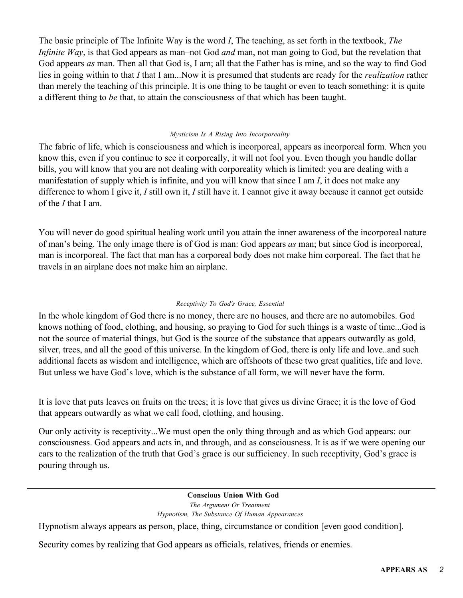The basic principle of The Infinite Way is the word *I*, The teaching, as set forth in the textbook, *The Infinite Way*, is that God appears as man–not God *and* man, not man going to God, but the revelation that God appears *as* man. Then all that God is, I am; all that the Father has is mine, and so the way to find God lies in going within to that *I* that I am...Now it is presumed that students are ready for the *realization* rather than merely the teaching of this principle. It is one thing to be taught or even to teach something: it is quite a different thing to *be* that, to attain the consciousness of that which has been taught.

## *Mysticism Is A Rising Into Incorporeality*

The fabric of life, which is consciousness and which is incorporeal, appears as incorporeal form. When you know this, even if you continue to see it corporeally, it will not fool you. Even though you handle dollar bills, you will know that you are not dealing with corporeality which is limited: you are dealing with a manifestation of supply which is infinite, and you will know that since I am *I*, it does not make any difference to whom I give it, *I* still own it, *I* still have it. I cannot give it away because it cannot get outside of the *I* that I am.

You will never do good spiritual healing work until you attain the inner awareness of the incorporeal nature of man's being. The only image there is of God is man: God appears *as* man; but since God is incorporeal, man is incorporeal. The fact that man has a corporeal body does not make him corporeal. The fact that he travels in an airplane does not make him an airplane.

## *Receptivity To God's Grace, Essential*

In the whole kingdom of God there is no money, there are no houses, and there are no automobiles. God knows nothing of food, clothing, and housing, so praying to God for such things is a waste of time...God is not the source of material things, but God is the source of the substance that appears outwardly as gold, silver, trees, and all the good of this universe. In the kingdom of God, there is only life and love..and such additional facets as wisdom and intelligence, which are offshoots of these two great qualities, life and love. But unless we have God's love, which is the substance of all form, we will never have the form.

It is love that puts leaves on fruits on the trees; it is love that gives us divine Grace; it is the love of God that appears outwardly as what we call food, clothing, and housing.

Our only activity is receptivity...We must open the only thing through and as which God appears: our consciousness. God appears and acts in, and through, and as consciousness. It is as if we were opening our ears to the realization of the truth that God's grace is our sufficiency. In such receptivity, God's grace is pouring through us.

> **Conscious Union With God** *The Argument Or Treatment*

*Hypnotism, The Substance Of Human Appearances*

Hypnotism always appears as person, place, thing, circumstance or condition [even good condition].

Security comes by realizing that God appears as officials, relatives, friends or enemies.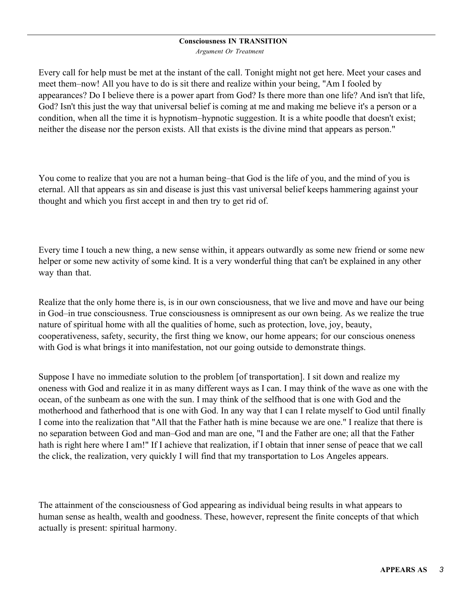#### **Consciousness IN TRANSITION**

*Argument Or Treatment*

Every call for help must be met at the instant of the call. Tonight might not get here. Meet your cases and meet them–now! All you have to do is sit there and realize within your being, "Am I fooled by appearances? Do I believe there is a power apart from God? Is there more than one life? And isn't that life, God? Isn't this just the way that universal belief is coming at me and making me believe it's a person or a condition, when all the time it is hypnotism–hypnotic suggestion. It is a white poodle that doesn't exist; neither the disease nor the person exists. All that exists is the divine mind that appears as person."

You come to realize that you are not a human being–that God is the life of you, and the mind of you is eternal. All that appears as sin and disease is just this vast universal belief keeps hammering against your thought and which you first accept in and then try to get rid of.

Every time I touch a new thing, a new sense within, it appears outwardly as some new friend or some new helper or some new activity of some kind. It is a very wonderful thing that can't be explained in any other way than that.

Realize that the only home there is, is in our own consciousness, that we live and move and have our being in God–in true consciousness. True consciousness is omnipresent as our own being. As we realize the true nature of spiritual home with all the qualities of home, such as protection, love, joy, beauty, cooperativeness, safety, security, the first thing we know, our home appears; for our conscious oneness with God is what brings it into manifestation, not our going outside to demonstrate things.

Suppose I have no immediate solution to the problem [of transportation]. I sit down and realize my oneness with God and realize it in as many different ways as I can. I may think of the wave as one with the ocean, of the sunbeam as one with the sun. I may think of the selfhood that is one with God and the motherhood and fatherhood that is one with God. In any way that I can I relate myself to God until finally I come into the realization that "All that the Father hath is mine because we are one." I realize that there is no separation between God and man–God and man are one, "I and the Father are one; all that the Father hath is right here where I am!" If I achieve that realization, if I obtain that inner sense of peace that we call the click, the realization, very quickly I will find that my transportation to Los Angeles appears.

The attainment of the consciousness of God appearing as individual being results in what appears to human sense as health, wealth and goodness. These, however, represent the finite concepts of that which actually is present: spiritual harmony.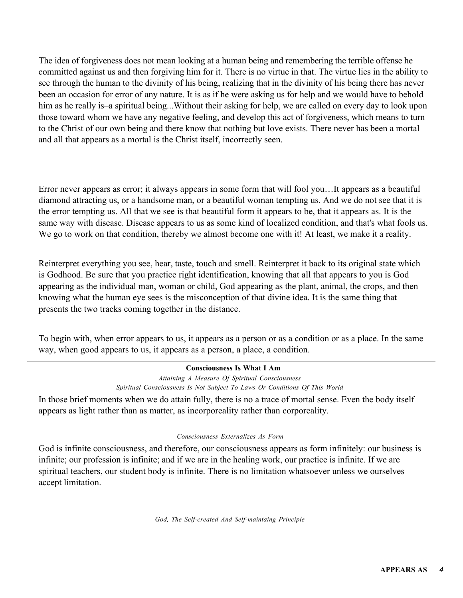The idea of forgiveness does not mean looking at a human being and remembering the terrible offense he committed against us and then forgiving him for it. There is no virtue in that. The virtue lies in the ability to see through the human to the divinity of his being, realizing that in the divinity of his being there has never been an occasion for error of any nature. It is as if he were asking us for help and we would have to behold him as he really is–a spiritual being...Without their asking for help, we are called on every day to look upon those toward whom we have any negative feeling, and develop this act of forgiveness, which means to turn to the Christ of our own being and there know that nothing but love exists. There never has been a mortal and all that appears as a mortal is the Christ itself, incorrectly seen.

Error never appears as error; it always appears in some form that will fool you…It appears as a beautiful diamond attracting us, or a handsome man, or a beautiful woman tempting us. And we do not see that it is the error tempting us. All that we see is that beautiful form it appears to be, that it appears as. It is the same way with disease. Disease appears to us as some kind of localized condition, and that's what fools us. We go to work on that condition, thereby we almost become one with it! At least, we make it a reality.

Reinterpret everything you see, hear, taste, touch and smell. Reinterpret it back to its original state which is Godhood. Be sure that you practice right identification, knowing that all that appears to you is God appearing as the individual man, woman or child, God appearing as the plant, animal, the crops, and then knowing what the human eye sees is the misconception of that divine idea. It is the same thing that presents the two tracks coming together in the distance.

To begin with, when error appears to us, it appears as a person or as a condition or as a place. In the same way, when good appears to us, it appears as a person, a place, a condition.

## **Consciousness Is What I Am**

*Attaining A Measure Of Spiritual Consciousness Spiritual Consciousness Is Not Subject To Laws Or Conditions Of This World*

In those brief moments when we do attain fully, there is no a trace of mortal sense. Even the body itself appears as light rather than as matter, as incorporeality rather than corporeality.

## *Consciousness Externalizes As Form*

God is infinite consciousness, and therefore, our consciousness appears as form infinitely: our business is infinite; our profession is infinite; and if we are in the healing work, our practice is infinite. If we are spiritual teachers, our student body is infinite. There is no limitation whatsoever unless we ourselves accept limitation.

*God, The Self-created And Self-maintaing Principle*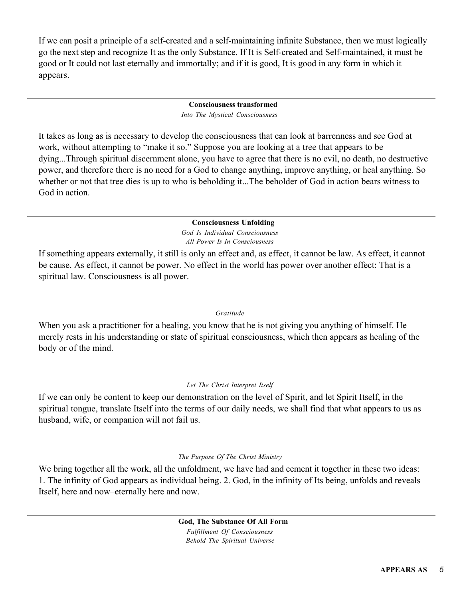If we can posit a principle of a self-created and a self-maintaining infinite Substance, then we must logically go the next step and recognize It as the only Substance. If It is Self-created and Self-maintained, it must be good or It could not last eternally and immortally; and if it is good, It is good in any form in which it appears.

#### **Consciousness transformed** *Into The Mystical Consciousness*

It takes as long as is necessary to develop the consciousness that can look at barrenness and see God at work, without attempting to "make it so." Suppose you are looking at a tree that appears to be dying...Through spiritual discernment alone, you have to agree that there is no evil, no death, no destructive power, and therefore there is no need for a God to change anything, improve anything, or heal anything. So whether or not that tree dies is up to who is beholding it...The beholder of God in action bears witness to God in action.

### **Consciousness Unfolding** *God Is Individual Consciousness*

*All Power Is In Consciousness*

If something appears externally, it still is only an effect and, as effect, it cannot be law. As effect, it cannot be cause. As effect, it cannot be power. No effect in the world has power over another effect: That is a spiritual law. Consciousness is all power.

# *Gratitude*

When you ask a practitioner for a healing, you know that he is not giving you anything of himself. He merely rests in his understanding or state of spiritual consciousness, which then appears as healing of the body or of the mind.

# *Let The Christ Interpret Itself*

If we can only be content to keep our demonstration on the level of Spirit, and let Spirit Itself, in the spiritual tongue, translate Itself into the terms of our daily needs, we shall find that what appears to us as husband, wife, or companion will not fail us.

# *The Purpose Of The Christ Ministry*

We bring together all the work, all the unfoldment, we have had and cement it together in these two ideas: 1. The infinity of God appears as individual being. 2. God, in the infinity of Its being, unfolds and reveals Itself, here and now–eternally here and now.

#### **God, The Substance Of All Form** *Fulfillment Of Consciousness Behold The Spiritual Universe*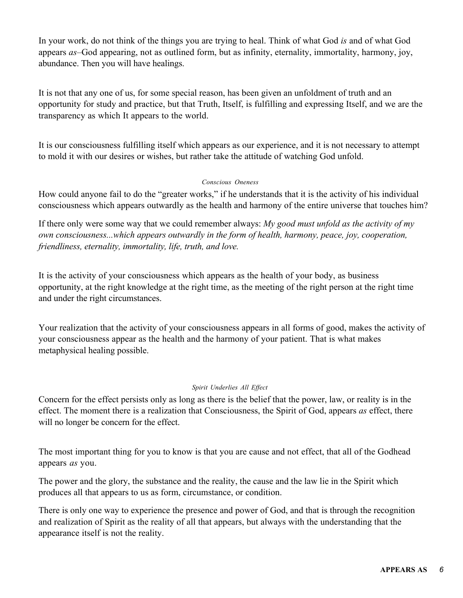In your work, do not think of the things you are trying to heal. Think of what God *is* and of what God appears *as*–God appearing, not as outlined form, but as infinity, eternality, immortality, harmony, joy, abundance. Then you will have healings.

It is not that any one of us, for some special reason, has been given an unfoldment of truth and an opportunity for study and practice, but that Truth, Itself, is fulfilling and expressing Itself, and we are the transparency as which It appears to the world.

It is our consciousness fulfilling itself which appears as our experience, and it is not necessary to attempt to mold it with our desires or wishes, but rather take the attitude of watching God unfold.

# *Conscious Oneness*

How could anyone fail to do the "greater works," if he understands that it is the activity of his individual consciousness which appears outwardly as the health and harmony of the entire universe that touches him?

If there only were some way that we could remember always: *My good must unfold as the activity of my own consciousness...which appears outwardly in the form of health, harmony, peace, joy, cooperation, friendliness, eternality, immortality, life, truth, and love.*

It is the activity of your consciousness which appears as the health of your body, as business opportunity, at the right knowledge at the right time, as the meeting of the right person at the right time and under the right circumstances.

Your realization that the activity of your consciousness appears in all forms of good, makes the activity of your consciousness appear as the health and the harmony of your patient. That is what makes metaphysical healing possible.

# *Spirit Underlies All Effect*

Concern for the effect persists only as long as there is the belief that the power, law, or reality is in the effect. The moment there is a realization that Consciousness, the Spirit of God, appears *as* effect, there will no longer be concern for the effect.

The most important thing for you to know is that you are cause and not effect, that all of the Godhead appears *as* you.

The power and the glory, the substance and the reality, the cause and the law lie in the Spirit which produces all that appears to us as form, circumstance, or condition.

There is only one way to experience the presence and power of God, and that is through the recognition and realization of Spirit as the reality of all that appears, but always with the understanding that the appearance itself is not the reality.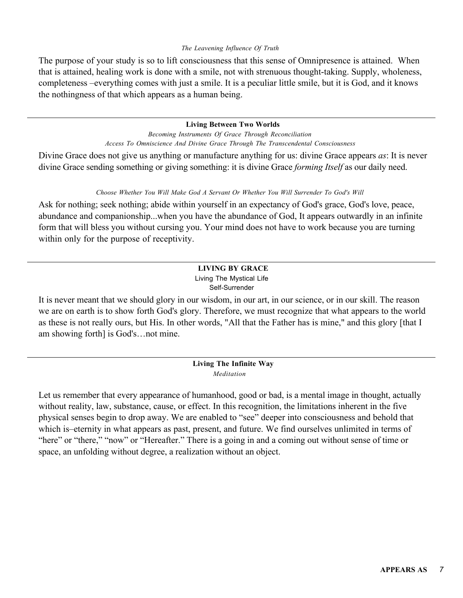### *The Leavening Influence Of Truth*

The purpose of your study is so to lift consciousness that this sense of Omnipresence is attained. When that is attained, healing work is done with a smile, not with strenuous thought-taking. Supply, wholeness, completeness –everything comes with just a smile. It is a peculiar little smile, but it is God, and it knows the nothingness of that which appears as a human being.

### **Living Between Two Worlds**

*Becoming Instruments Of Grace Through Reconciliation Access To Omniscience And Divine Grace Through The Transcendental Consciousness*

Divine Grace does not give us anything or manufacture anything for us: divine Grace appears *as*: It is never divine Grace sending something or giving something: it is divine Grace *forming Itself* as our daily need.

### *Choose Whether You Will Make God A Servant Or Whether You Will Surrender To God's Will*

Ask for nothing; seek nothing; abide within yourself in an expectancy of God's grace, God's love, peace, abundance and companionship...when you have the abundance of God, It appears outwardly in an infinite form that will bless you without cursing you. Your mind does not have to work because you are turning within only for the purpose of receptivity.

### **LIVING BY GRACE** Living The Mystical Life Self-Surrender

It is never meant that we should glory in our wisdom, in our art, in our science, or in our skill. The reason we are on earth is to show forth God's glory. Therefore, we must recognize that what appears to the world as these is not really ours, but His. In other words, "All that the Father has is mine," and this glory [that I am showing forth] is God's…not mine.

#### **Living The Infinite Way** *Meditation*

Let us remember that every appearance of humanhood, good or bad, is a mental image in thought, actually without reality, law, substance, cause, or effect. In this recognition, the limitations inherent in the five physical senses begin to drop away. We are enabled to "see" deeper into consciousness and behold that which is–eternity in what appears as past, present, and future. We find ourselves unlimited in terms of "here" or "there," "now" or "Hereafter." There is a going in and a coming out without sense of time or space, an unfolding without degree, a realization without an object.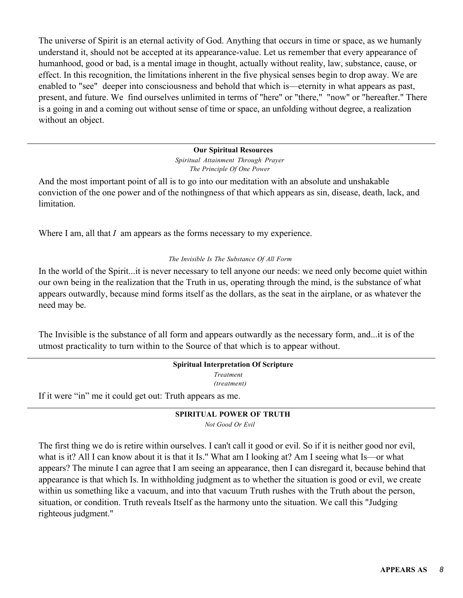The universe of Spirit is an eternal activity of God. Anything that occurs in time or space, as we humanly understand it, should not be accepted at its appearance-value. Let us remember that every appearance of humanhood, good or bad, is a mental image in thought, actually without reality, law, substance, cause, or effect. In this recognition, the limitations inherent in the five physical senses begin to drop away. We are enabled to "see" deeper into consciousness and behold that which is—eternity in what appears as past, present, and future. We find ourselves unlimited in terms of "here" or "there," "now" or "hereafter." There is a going in and a coming out without sense of time or space, an unfolding without degree, a realization without an object.

## **Our Spiritual Resources**

*Spiritual Attainment Through Prayer The Principle Of One Power*

And the most important point of all is to go into our meditation with an absolute and unshakable conviction of the one power and of the nothingness of that which appears as sin, disease, death, lack, and limitation.

Where I am, all that *I* am appears as the forms necessary to my experience.

# *The Invisible Is The Substance Of All Form*

In the world of the Spirit...it is never necessary to tell anyone our needs: we need only become quiet within our own being in the realization that the Truth in us, operating through the mind, is the substance of what appears outwardly, because mind forms itself as the dollars, as the seat in the airplane, or as whatever the need may be.

The Invisible is the substance of all form and appears outwardly as the necessary form, and...it is of the utmost practicality to turn within to the Source of that which is to appear without.

### **Spiritual Interpretation Of Scripture** *Treatment*

*(treatment)*

If it were "in" me it could get out: Truth appears as me.

### **SPIRITUAL POWER OF TRUTH** *Not Good Or Evil*

The first thing we do is retire within ourselves. I can't call it good or evil. So if it is neither good nor evil, what is it? All I can know about it is that it Is." What am I looking at? Am I seeing what Is—or what appears? The minute I can agree that I am seeing an appearance, then I can disregard it, because behind that appearance is that which Is. In withholding judgment as to whether the situation is good or evil, we create within us something like a vacuum, and into that vacuum Truth rushes with the Truth about the person, situation, or condition. Truth reveals Itself as the harmony unto the situation. We call this "Judging righteous judgment."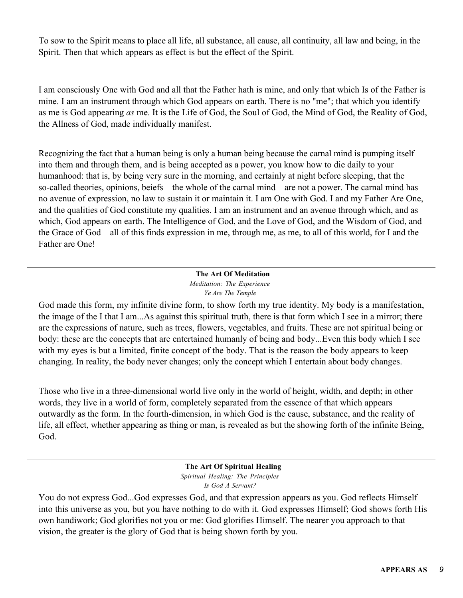To sow to the Spirit means to place all life, all substance, all cause, all continuity, all law and being, in the Spirit. Then that which appears as effect is but the effect of the Spirit.

I am consciously One with God and all that the Father hath is mine, and only that which Is of the Father is mine. I am an instrument through which God appears on earth. There is no "me"; that which you identify as me is God appearing *as* me. It is the Life of God, the Soul of God, the Mind of God, the Reality of God, the Allness of God, made individually manifest.

Recognizing the fact that a human being is only a human being because the carnal mind is pumping itself into them and through them, and is being accepted as a power, you know how to die daily to your humanhood: that is, by being very sure in the morning, and certainly at night before sleeping, that the so-called theories, opinions, beiefs—the whole of the carnal mind—are not a power. The carnal mind has no avenue of expression, no law to sustain it or maintain it. I am One with God. I and my Father Are One, and the qualities of God constitute my qualities. I am an instrument and an avenue through which, and as which, God appears on earth. The Intelligence of God, and the Love of God, and the Wisdom of God, and the Grace of God—all of this finds expression in me, through me, as me, to all of this world, for I and the Father are One!

# **The Art Of Meditation**

*Meditation: The Experience Ye Are The Temple*

God made this form, my infinite divine form, to show forth my true identity. My body is a manifestation, the image of the I that I am...As against this spiritual truth, there is that form which I see in a mirror; there are the expressions of nature, such as trees, flowers, vegetables, and fruits. These are not spiritual being or body: these are the concepts that are entertained humanly of being and body...Even this body which I see with my eyes is but a limited, finite concept of the body. That is the reason the body appears to keep changing. In reality, the body never changes; only the concept which I entertain about body changes.

Those who live in a three-dimensional world live only in the world of height, width, and depth; in other words, they live in a world of form, completely separated from the essence of that which appears outwardly as the form. In the fourth-dimension, in which God is the cause, substance, and the reality of life, all effect, whether appearing as thing or man, is revealed as but the showing forth of the infinite Being, God.

> **The Art Of Spiritual Healing** *Spiritual Healing: The Principles Is God A Servant?*

You do not express God...God expresses God, and that expression appears as you. God reflects Himself into this universe as you, but you have nothing to do with it. God expresses Himself; God shows forth His own handiwork; God glorifies not you or me: God glorifies Himself. The nearer you approach to that vision, the greater is the glory of God that is being shown forth by you.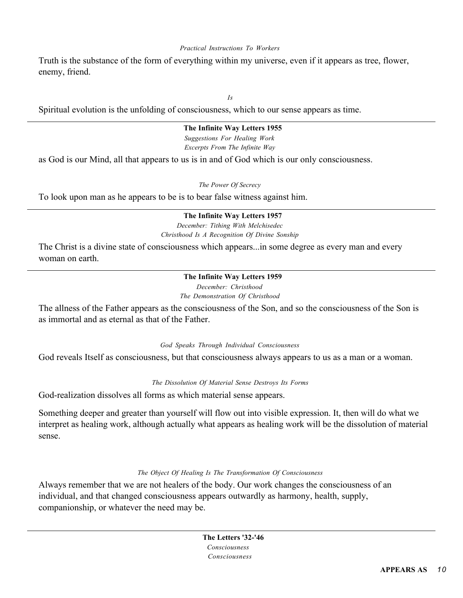## *Practical Instructions To Workers*

Truth is the substance of the form of everything within my universe, even if it appears as tree, flower, enemy, friend.

*Is*

Spiritual evolution is the unfolding of consciousness, which to our sense appears as time.

# **The Infinite Way Letters 1955**

*Suggestions For Healing Work Excerpts From The Infinite Way*

as God is our Mind, all that appears to us is in and of God which is our only consciousness.

*The Power Of Secrecy*

To look upon man as he appears to be is to bear false witness against him.

# **The Infinite Way Letters 1957**

*December: Tithing With Melchisedec Christhood Is A Recognition Of Divine Sonship*

The Christ is a divine state of consciousness which appears...in some degree as every man and every woman on earth.

# **The Infinite Way Letters 1959**

*December: Christhood The Demonstration Of Christhood*

The allness of the Father appears as the consciousness of the Son, and so the consciousness of the Son is as immortal and as eternal as that of the Father.

#### *God Speaks Through Individual Consciousness*

God reveals Itself as consciousness, but that consciousness always appears to us as a man or a woman.

## *The Dissolution Of Material Sense Destroys Its Forms*

God-realization dissolves all forms as which material sense appears.

Something deeper and greater than yourself will flow out into visible expression. It, then will do what we interpret as healing work, although actually what appears as healing work will be the dissolution of material sense.

# *The Object Of Healing Is The Transformation Of Consciousness*

Always remember that we are not healers of the body. Our work changes the consciousness of an individual, and that changed consciousness appears outwardly as harmony, health, supply, companionship, or whatever the need may be.

> **The Letters '32-'46** *Consciousness Consciousness*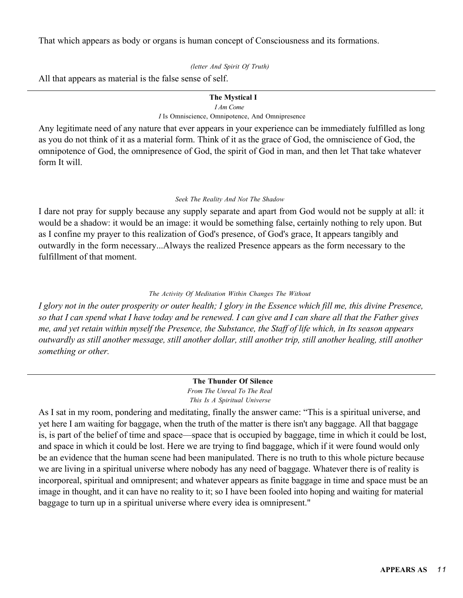That which appears as body or organs is human concept of Consciousness and its formations.

*(letter And Spirit Of Truth)*

All that appears as material is the false sense of self.

### **The Mystical I**

*I Am Come*

# *I* Is Omniscience, Omnipotence, And Omnipresence

Any legitimate need of any nature that ever appears in your experience can be immediately fulfilled as long as you do not think of it as a material form. Think of it as the grace of God, the omniscience of God, the omnipotence of God, the omnipresence of God, the spirit of God in man, and then let That take whatever form It will

## *Seek The Reality And Not The Shadow*

I dare not pray for supply because any supply separate and apart from God would not be supply at all: it would be a shadow: it would be an image: it would be something false, certainly nothing to rely upon. But as I confine my prayer to this realization of God's presence, of God's grace, It appears tangibly and outwardly in the form necessary...Always the realized Presence appears as the form necessary to the fulfillment of that moment.

# *The Activity Of Meditation Within Changes The Without*

*I glory not in the outer prosperity or outer health; I glory in the Essence which fill me, this divine Presence, so that I can spend what I have today and be renewed. I can give and I can share all that the Father gives me, and yet retain within myself the Presence, the Substance, the Staff of life which, in Its season appears outwardly as still another message, still another dollar, still another trip, still another healing, still another something or other.*

## **The Thunder Of Silence** *From The Unreal To The Real*

*This Is A Spiritual Universe*

As I sat in my room, pondering and meditating, finally the answer came: "This is a spiritual universe, and yet here I am waiting for baggage, when the truth of the matter is there isn't any baggage. All that baggage is, is part of the belief of time and space—space that is occupied by baggage, time in which it could be lost, and space in which it could be lost. Here we are trying to find baggage, which if it were found would only be an evidence that the human scene had been manipulated. There is no truth to this whole picture because we are living in a spiritual universe where nobody has any need of baggage. Whatever there is of reality is incorporeal, spiritual and omnipresent; and whatever appears as finite baggage in time and space must be an image in thought, and it can have no reality to it; so I have been fooled into hoping and waiting for material baggage to turn up in a spiritual universe where every idea is omnipresent."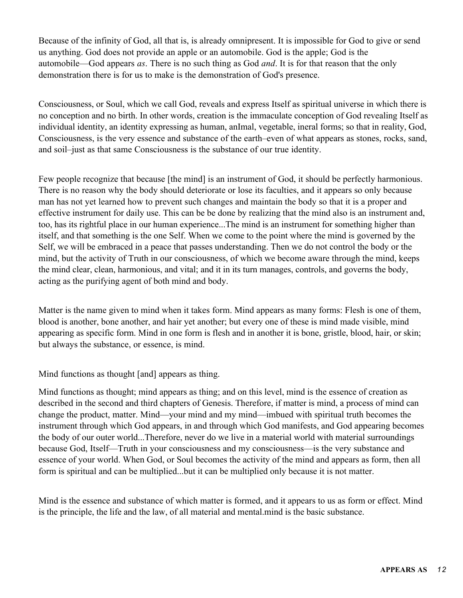Because of the infinity of God, all that is, is already omnipresent. It is impossible for God to give or send us anything. God does not provide an apple or an automobile. God is the apple; God is the automobile—God appears *as*. There is no such thing as God *and*. It is for that reason that the only demonstration there is for us to make is the demonstration of God's presence.

Consciousness, or Soul, which we call God, reveals and express Itself as spiritual universe in which there is no conception and no birth. In other words, creation is the immaculate conception of God revealing Itself as individual identity, an identity expressing as human, anImal, vegetable, ineral forms; so that in reality, God, Consciousness, is the very essence and substance of the earth–even of what appears as stones, rocks, sand, and soil–just as that same Consciousness is the substance of our true identity.

Few people recognize that because [the mind] is an instrument of God, it should be perfectly harmonious. There is no reason why the body should deteriorate or lose its faculties, and it appears so only because man has not yet learned how to prevent such changes and maintain the body so that it is a proper and effective instrument for daily use. This can be be done by realizing that the mind also is an instrument and, too, has its rightful place in our human experience...The mind is an instrument for something higher than itself, and that something is the one Self. When we come to the point where the mind is governed by the Self, we will be embraced in a peace that passes understanding. Then we do not control the body or the mind, but the activity of Truth in our consciousness, of which we become aware through the mind, keeps the mind clear, clean, harmonious, and vital; and it in its turn manages, controls, and governs the body, acting as the purifying agent of both mind and body.

Matter is the name given to mind when it takes form. Mind appears as many forms: Flesh is one of them, blood is another, bone another, and hair yet another; but every one of these is mind made visible, mind appearing as specific form. Mind in one form is flesh and in another it is bone, gristle, blood, hair, or skin; but always the substance, or essence, is mind.

Mind functions as thought [and] appears as thing.

Mind functions as thought; mind appears as thing; and on this level, mind is the essence of creation as described in the second and third chapters of Genesis. Therefore, if matter is mind, a process of mind can change the product, matter. Mind—your mind and my mind—imbued with spiritual truth becomes the instrument through which God appears, in and through which God manifests, and God appearing becomes the body of our outer world...Therefore, never do we live in a material world with material surroundings because God, Itself—Truth in your consciousness and my consciousness—is the very substance and essence of your world. When God, or Soul becomes the activity of the mind and appears as form, then all form is spiritual and can be multiplied...but it can be multiplied only because it is not matter.

Mind is the essence and substance of which matter is formed, and it appears to us as form or effect. Mind is the principle, the life and the law, of all material and mental.mind is the basic substance.